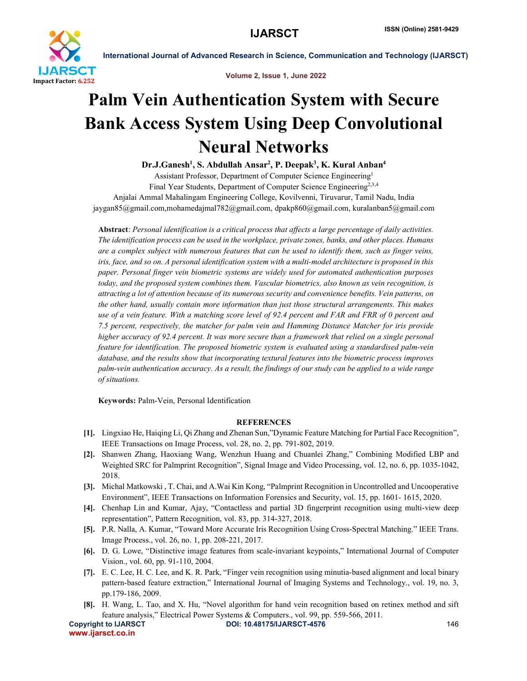

International Journal of Advanced Research in Science, Communication and Technology (IJARSCT)

Volume 2, Issue 1, June 2022

## Palm Vein Authentication System with Secure Bank Access System Using Deep Convolutional Neural Networks

Dr.J.Ganesh<sup>1</sup>, S. Abdullah Ansar<sup>2</sup>, P. Deepak<sup>3</sup>, K. Kural Anban<sup>4</sup> Assistant Professor, Department of Computer Science Engineering1 Final Year Students, Department of Computer Science Engineering<sup>2,3,4</sup> Anjalai Ammal Mahalingam Engineering College, Kovilvenni, Tiruvarur, Tamil Nadu, India

jaygan85@gmail.com,mohamedajmal782@gmail.com, dpakp860@gmail.com, kuralanban5@gmail.com

Abstract: *Personal identification is a critical process that affects a large percentage of daily activities. The identification process can be used in the workplace, private zones, banks, and other places. Humans are a complex subject with numerous features that can be used to identify them, such as finger veins, iris, face, and so on. A personal identification system with a multi-model architecture is proposed in this paper. Personal finger vein biometric systems are widely used for automated authentication purposes today, and the proposed system combines them. Vascular biometrics, also known as vein recognition, is attracting a lot of attention because of its numerous security and convenience benefits. Vein patterns, on the other hand, usually contain more information than just those structural arrangements. This makes use of a vein feature. With a matching score level of 92.4 percent and FAR and FRR of 0 percent and 7.5 percent, respectively, the matcher for palm vein and Hamming Distance Matcher for iris provide higher accuracy of 92.4 percent. It was more secure than a framework that relied on a single personal feature for identification. The proposed biometric system is evaluated using a standardised palm-vein database, and the results show that incorporating textural features into the biometric process improves palm-vein authentication accuracy. As a result, the findings of our study can be applied to a wide range of situations.*

Keywords: Palm-Vein, Personal Identification

## **REFERENCES**

- [1]. Lingxiao He, Haiqing Li, Qi Zhang and Zhenan Sun,"Dynamic Feature Matching for Partial Face Recognition", IEEE Transactions on Image Process, vol. 28, no. 2, pp. 791-802, 2019.
- [2]. Shanwen Zhang, Haoxiang Wang, Wenzhun Huang and Chuanlei Zhang," Combining Modified LBP and Weighted SRC for Palmprint Recognition", Signal Image and Video Processing, vol. 12, no. 6, pp. 1035-1042, 2018.
- [3]. Michal Matkowski , T. Chai, and A.Wai Kin Kong, "Palmprint Recognition in Uncontrolled and Uncooperative Environment", IEEE Transactions on Information Forensics and Security, vol. 15, pp. 1601- 1615, 2020.
- [4]. Chenhap Lin and Kumar, Ajay, "Contactless and partial 3D fingerprint recognition using multi-view deep representation", Pattern Recognition, vol. 83, pp. 314-327, 2018.
- [5]. P.R. Nalla, A. Kumar, "Toward More Accurate Iris Recognition Using Cross-Spectral Matching." IEEE Trans. Image Process., vol. 26, no. 1, pp. 208-221, 2017.
- [6]. D. G. Lowe, "Distinctive image features from scale-invariant keypoints," International Journal of Computer Vision., vol. 60, pp. 91-110, 2004.
- [7]. E. C. Lee, H. C. Lee, and K. R. Park, "Finger vein recognition using minutia-based alignment and local binary pattern-based feature extraction," International Journal of Imaging Systems and Technology., vol. 19, no. 3, pp.179-186, 2009.
- [8]. H. Wang, L. Tao, and X. Hu, "Novel algorithm for hand vein recognition based on retinex method and sift feature analysis," Electrical Power Systems & Computers., vol. 99, pp. 559-566, 2011.